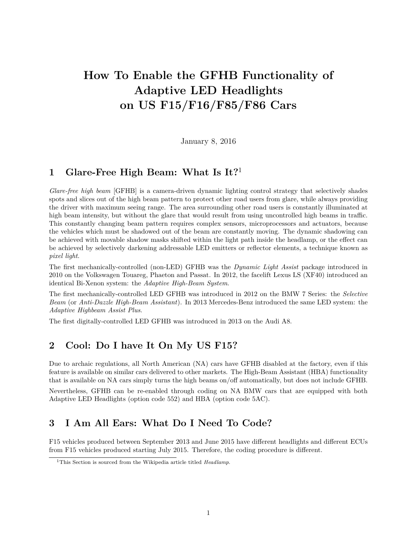# **How To Enable the GFHB Functionality of Adaptive LED Headlights on US F15/F16/F85/F86 Cars**

January 8, 2016

#### **1 Glare-Free High Beam: What Is It?**<sup>1</sup>

*Glare-free high beam* [GFHB] is a camera-driven dynamic lighting control strategy that selectively shades spots and slices out of the high beam pattern to protect other road users from glare, while always providing the driver with maximum seeing range. The area surrounding other road users is constantly illuminated at high beam intensity, but without the glare that would result from using uncontrolled high beams in traffic. This constantly changing beam pattern requires complex sensors, microprocessors and actuators, because the vehicles which must be shadowed out of the beam are constantly moving. The dynamic shadowing can be achieved with movable shadow masks shifted within the light path inside the headlamp, or the effect can be achieved by selectively darkening addressable LED emitters or reflector elements, a technique known as *pixel light*.

The first mechanically-controlled (non-LED) GFHB was the *Dynamic Light Assist* package introduced in 2010 on the Volkswagen Touareg, Phaeton and Passat. In 2012, the facelift Lexus LS (XF40) introduced an identical Bi-Xenon system: the *Adaptive High-Beam System*.

The first mechanically-controlled LED GFHB was introduced in 2012 on the BMW 7 Series: the *Selective Beam* (or *Anti-Dazzle High-Beam Assistant*). In 2013 Mercedes-Benz introduced the same LED system: the *Adaptive Highbeam Assist Plus*.

The first digitally-controlled LED GFHB was introduced in 2013 on the Audi A8.

## **2 Cool: Do I have It On My US F15?**

Due to archaic regulations, all North American (NA) cars have GFHB disabled at the factory, even if this feature is available on similar cars delivered to other markets. The High-Beam Assistant (HBA) functionality that is available on NA cars simply turns the high beams on/off automatically, but does not include GFHB. Nevertheless, GFHB can be re-enabled through coding on NA BMW cars that are equipped with both Adaptive LED Headlights (option code 552) and HBA (option code 5AC).

## **3 I Am All Ears: What Do I Need To Code?**

F15 vehicles produced between September 2013 and June 2015 have different headlights and different ECUs from F15 vehicles produced starting July 2015. Therefore, the coding procedure is different.

<sup>1</sup>This Section is sourced from the Wikipedia article titled *Headlamp*.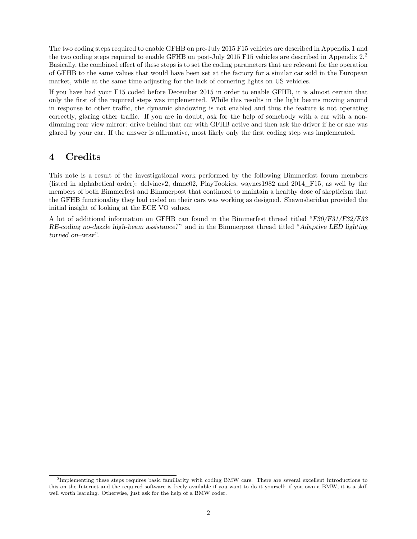The two coding steps required to enable GFHB on pre-July 2015 F15 vehicles are described in Appendix 1 and the two coding steps required to enable GFHB on post-July 2015 F15 vehicles are described in Appendix 2.<sup>2</sup> Basically, the combined effect of these steps is to set the coding parameters that are relevant for the operation of GFHB to the same values that would have been set at the factory for a similar car sold in the European market, while at the same time adjusting for the lack of cornering lights on US vehicles.

If you have had your F15 coded before December 2015 in order to enable GFHB, it is almost certain that only the first of the required steps was implemented. While this results in the light beams moving around in response to other traffic, the dynamic shadowing is not enabled and thus the feature is not operating correctly, glaring other traffic. If you are in doubt, ask for the help of somebody with a car with a nondimming rear view mirror: drive behind that car with GFHB active and then ask the driver if he or she was glared by your car. If the answer is affirmative, most likely only the first coding step was implemented.

## **4 Credits**

This note is a result of the investigational work performed by the following Bimmerfest forum members (listed in alphabetical order): delviacv2, dmnc02, PlayTookies, waynes1982 and 2014\_F15, as well by the members of both Bimmerfest and Bimmerpost that continued to maintain a healthy dose of skepticism that the GFHB functionality they had coded on their cars was working as designed. Shawnsheridan provided the initial insight of looking at the ECE VO values.

A lot of additional information on GFHB can found in the Bimmerfest thread titled "F30/F31/F32/F33 RE-coding no-dazzle high-beam assistance?" and in the Bimmerpost thread titled "Adaptive LED lighting turned on–wow".

<sup>&</sup>lt;sup>2</sup>Implementing these steps requires basic familiarity with coding BMW cars. There are several excellent introductions to this on the Internet and the required software is freely available if you want to do it yourself: if you own a BMW, it is a skill well worth learning. Otherwise, just ask for the help of a BMW coder.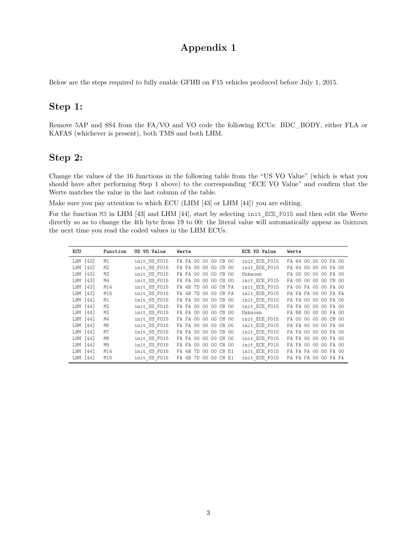# **Appendix 1**

Below are the steps required to fully enable GFHB on F15 vehicles produced before July 1, 2015.

## **Step 1:**

Remove 5AP and 8S4 from the FA/VO and VO code the following ECUs: BDC\_BODY, either FLA or KAFAS (whichever is present), both TMS and both LHM.

#### **Step 2:**

Change the values of the 16 functions in the following table from the "US VO Value" (which is what you should have after performing Step 1 above) to the corresponding "ECE VO Value" and confirm that the Werte matches the value in the last column of the table.

Make sure you pay attention to which ECU (LHM [43] or LHM [44]) you are editing.

For the function M3 in LHM [43] and LHM [44], start by selecting init\_ECE\_F015 and then edit the Werte directly so as to change the 4th byte from 19 to 00: the literal value will automatically appear as Unknown the next time you read the coded values in the LHM ECUs.

| ECU      | Function | US VO Value  | Werte                                   | ECE VO Value  | Werte                                                   |
|----------|----------|--------------|-----------------------------------------|---------------|---------------------------------------------------------|
| LHM [43] | M1       | init US F015 | FA FA 00 00 00 C8 00                    | init ECE F015 | FA 64 00 00 00 FA 00                                    |
| LHM [43] | M2       | init US F015 | FA FA<br>00 00 00 C8 00                 | init ECE F015 | FA 64 00 00 00 FA 00                                    |
| LHM [43] | MЗ       | init US F015 | FA FA<br>00 <sub>o</sub><br>00 00 C8 00 | Unknown       | FA 00 00<br>00 00 FA 00                                 |
| LHM [43] | M4       | init US F015 | 00 00 C8 00<br>FA FA 00                 | init ECE F015 | 00 <sup>1</sup><br>00 00 C8 00<br>00 <sup>2</sup><br>FA |
| LHM [43] | M14      | init US F015 | FA 4B<br>00 00 C8 FA<br>7D.             | init ECE F015 | FA 00 00 FA 00<br>FA 00                                 |
| LHM [43] | M15      | init US F015 | FA 4B<br>00 00 C8 FA<br>7D              | init ECE F015 | FA FA FA 00 00 FA FA                                    |
| LHM [44] | M1       | init US F015 | 00 00 C8 00<br>FA FA 00                 | init ECE F015 | FA FA 00 00 00 FA 00                                    |
| LHM [44] | M2       | init US F015 | FA FA 00<br>00 00 C8 00                 | init ECE F015 | FA FA 00 00 00 FA 00                                    |
| LHM [44] | ΜЗ       | init US F015 | FA FA 00<br>00 00 C8 00                 | Unknown       | FA BB 00 00 00 FA 00                                    |
| LHM [44] | M4       | init US F015 | FA FA 00 00 00 C8 00                    | init ECE F015 | FA 00 00 00 00 C8 00                                    |
| LHM [44] | M6       | init US F015 | FA FA 00 00 00 C8 00                    | init ECE F015 | FA FA 00 00 00 FA 00                                    |
| LHM [44] | M7       | init US F015 | FA FA 00 00 00 C8 00                    | init ECE F015 | FA FA 00 00 00 FA 00                                    |
| LHM [44] | M8       | init US F015 | FA FA 00 00 00 C8 00                    | init ECE F015 | FA FA 00 00 00 FA 00                                    |
| LHM [44] | M9       | init US F015 | FA FA 00<br>00 00 C8 00                 | init ECE F015 | FA FA 00 00 00 FA 00                                    |
| LHM [44] | M14      | init US F015 | FA 4B<br>00 00 C8 E1<br>7D              | init ECE F015 | FA FA FA 00 00 FA 00                                    |
| LHM [44] | M15      | init US F015 | FA 4B<br>00 00 C8 E1<br>7D.             | init ECE F015 | FA FA FA 00 00 FA FA                                    |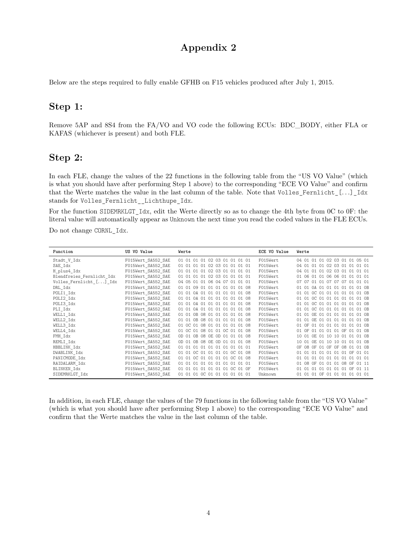## **Appendix 2**

Below are the steps required to fully enable GFHB on F15 vehicles produced after July 1, 2015.

#### **Step 1:**

Remove 5AP and 8S4 from the FA/VO and VO code the following ECUs: BDC\_BODY, either FLA or KAFAS (whichever is present) and both FLE.

#### **Step 2:**

In each FLE, change the values of the 22 functions in the following table from the "US VO Value" (which is what you should have after performing Step 1 above) to the corresponding "ECE VO Value" and confirm that the Werte matches the value in the last column of the table. Note that Volles\_Fernlicht\_[*. . .*]\_Idx stands for Volles\_Fernlicht\_\_Lichthupe\_Idx.

For the function SIDEMRKLGT Idx, edit the Werte directly so as to change the 4th byte from 0C to 0F: the literal value will automatically appear as Unknown the next time you read the coded values in the FLE ECUs.

Do not change CORNL\_Idx.

| Function                  | US VO Value        | Werte                                               | ECE VO Value | Werte                             |
|---------------------------|--------------------|-----------------------------------------------------|--------------|-----------------------------------|
| Stadt V Idx               | F015Wert SA552 SAE | 01 01 01 01 02 03 01 01 01 01                       | F015Wert     | 04 01 01 01 02 03 01 01 05 01     |
| SAE Idx                   | F015Wert SA552 SAE | 01 01 01 01 02 03 01 01 01 01                       | F015Wert     | 04 01 01 01 02 03 01 01 01 01     |
| H plus4 Idx               | F015Wert SA552 SAE | 01 01 01 01 02 03 01 01 01 01                       | F015Wert     | 04 01 01 01 02 03 01 01 01 01     |
| Blendfreies Fernlicht Idx | F015Wert SA552 SAE | 01 01 01 01 02 03 01 01 01 01                       | F015Wert     | 01 06 01 01 06 06 01 01 01 01     |
| Volles Fernlicht [] Idx   | F015Wert SA552 SAE | 04 05 01 01 06 04 07 01 01 01                       | F015Wert     | 07 07 01 01 07 07 07 01 01 01     |
| DRL Idx                   | F015Wert SA552 SAE | 01 01 09 01 01 01 01 01 01 08                       | F015Wert     | 01 01 0A 01 01 01 01 01 01 0B     |
| POLI1 Idx                 | F015Wert SA552 SAE | 01 01 0A 01 01 01 01 01 01 08                       | F015Wert     | 01 01 0C 01 01 01 01 01 01 0B     |
| POLI2 Idx                 | F015Wert SA552 SAE | 01 01 0A 01 01 01 01 01 01 08                       | F015Wert     | 01 01 0C 01 01 01 01 01 01 0B     |
| POLI3 Idx                 | F015Wert SA552 SAE | 01 01 0A 01 01 01 01 01 01 08                       | F015Wert     | 01 01 0C 01 01 01 01 01 01 0B     |
| PLI Idx                   | F015Wert SA552 SAE | 01 01 0A 01 01 01 01 01 01 08                       | F015Wert     | 01 01 0C 01 01 01 01 01 01 0B     |
| WELL1 Idx                 | F015Wert SA552 SAE | 08 01 01 01 01 01 08<br>01 01<br>0B                 | F015Wert     | 01 01 0E 01 01 01 01 01 01 0B     |
| WELL2 Idx                 | F015Wert SA552 SAE | 08 01 01 01 01 01 08<br>01 01<br>- OB               | F015Wert     | 01 01 0E 01 01 01 01 01 01 0B     |
| WELL3 Idx                 | F015Wert SA552 SAE | 01 0C 01 08 01 01 01 01 01 08                       | F015Wert     | 01 OF 01 01 01 01 01 01 01 0B     |
| WELL4 Idx                 | F015Wert_SA552 SAE | 01 0C 01 08 01 01 0C 01 01 08                       | F015Wert     | 01 OF 01 01 01 01 OF 01 01 OB     |
| FMH Idx                   | F015Wert SA552 SAE | 08 OE OD 01 01 01 08<br>OR<br>OD 01                 | F015Wert     | 10 01 0E 01 10 10 01 01 01 0B     |
| REMLI Idx                 | F015Wert SA552 SAE | 08 OE OD 01 01 01 08<br>$OD$ $O1$<br>0 <sub>B</sub> | F015Wert     | 10 01 0E 01 10 10 01 01 01 0B     |
| HBBLINK Idx               | F015Wert SA552 SAE | 01 01 01 01 01 01 01<br>01 01<br>$\Omega$ 1         | F015Wert     | 08 OF 01 OF OF 08 01 01 OB<br>0F. |
| DWABLINK Idx              | F015Wert SA552 SAE | OC 01 01 01 01 OC 01 08<br>01 01                    | F015Wert     | 01 01 01 01 01 01 01 0F 01 01     |
| PANICMODE Idx             | F015Wert SA552 SAE | OC 01 01 01 01 OC 01 08<br>01 01                    | F015Wert     | 01 01 01 01 01 01 01 01 01 01     |
| RAIDALARM Idx             | F015Wert SA552 SAE | 01 01 01 01 01 01 01 01 01 01                       | F015Wert     | 01 08 OF 01 01 01 08 OF 01 11     |
| BLINKEN Idx               | F015Wert SA552 SAE | 01 01 01 01 01 01 01 0C 01 OF                       | F015Wert     | 01 01 01 01 01 01 01 0F 01 11     |
| SIDEMRKLGT_Idx            | F015Wert SA552 SAE | 01 01 01 0C 01 01 01 01 01 01                       | Unknown      | 01 01 01 0F 01 01 01 01 01 01     |

In addition, in each FLE, change the values of the 79 functions in the following table from the "US VO Value" (which is what you should have after performing Step 1 above) to the corresponding "ECE VO Value" and confirm that the Werte matches the value in the last column of the table.